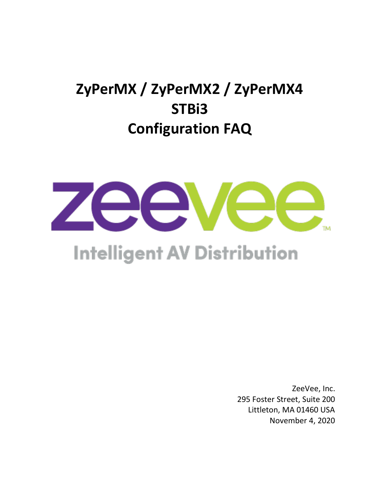# **ZyPerMX / ZyPerMX2 / ZyPerMX4 STBi3 Configuration FAQ**



# **Intelligent AV Distribution**

ZeeVee, Inc. 295 Foster Street, Suite 200 Littleton, MA 01460 USA November 4, 2020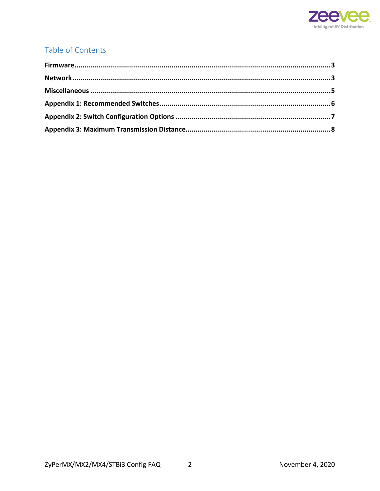

#### Table of Contents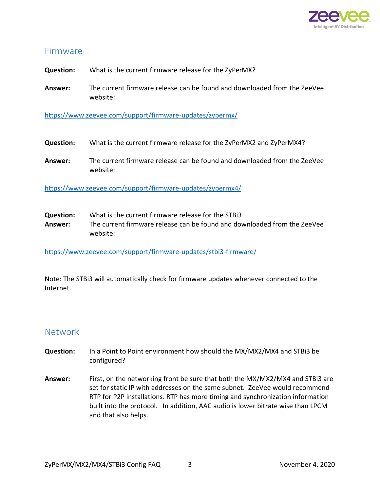

#### <span id="page-2-0"></span>Firmware

**Question:** What is the current firmware release for the ZyPerMX?

**Answer:** The current firmware release can be found and downloaded from the ZeeVee website:

<https://www.zeevee.com/support/firmware-updates/zypermx/>

- **Question:** What is the current firmware release for the ZyPerMX2 and ZyPerMX4?
- **Answer:** The current firmware release can be found and downloaded from the ZeeVee website:

<https://www.zeevee.com/support/firmware-updates/zypermx4/>

**Question:** What is the current firmware release for the STBi3 **Answer:** The current firmware release can be found and downloaded from the ZeeVee website:

<https://www.zeevee.com/support/firmware-updates/stbi3-firmware/>

Note: The STBi3 will automatically check for firmware updates whenever connected to the Internet.

#### <span id="page-2-1"></span>Network

- **Question:** In a Point to Point environment how should the MX/MX2/MX4 and STBi3 be configured?
- **Answer:** First, on the networking front be sure that both the MX/MX2/MX4 and STBi3 are set for static IP with addresses on the same subnet. ZeeVee would recommend RTP for P2P installations. RTP has more timing and synchronization information built into the protocol. In addition, AAC audio is lower bitrate wise than LPCM and that also helps.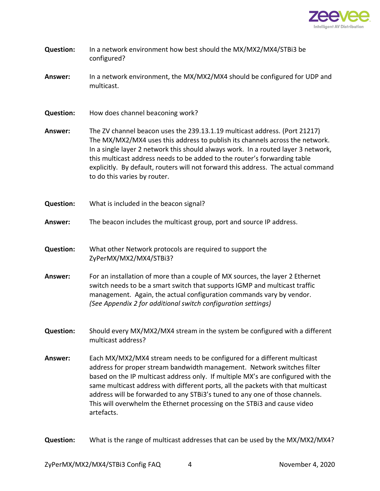

| <b>Question:</b> | In a network environment how best should the MX/MX2/MX4/STBi3 be<br>configured?                                                                                                                                                                                                                                                                                                                                                                                                                      |  |  |
|------------------|------------------------------------------------------------------------------------------------------------------------------------------------------------------------------------------------------------------------------------------------------------------------------------------------------------------------------------------------------------------------------------------------------------------------------------------------------------------------------------------------------|--|--|
| Answer:          | In a network environment, the MX/MX2/MX4 should be configured for UDP and<br>multicast.                                                                                                                                                                                                                                                                                                                                                                                                              |  |  |
| <b>Question:</b> | How does channel beaconing work?                                                                                                                                                                                                                                                                                                                                                                                                                                                                     |  |  |
| Answer:          | The ZV channel beacon uses the 239.13.1.19 multicast address. (Port 21217)<br>The MX/MX2/MX4 uses this address to publish its channels across the network.<br>In a single layer 2 network this should always work. In a routed layer 3 network,<br>this multicast address needs to be added to the router's forwarding table<br>explicitly. By default, routers will not forward this address. The actual command<br>to do this varies by router.                                                    |  |  |
| <b>Question:</b> | What is included in the beacon signal?                                                                                                                                                                                                                                                                                                                                                                                                                                                               |  |  |
| Answer:          | The beacon includes the multicast group, port and source IP address.                                                                                                                                                                                                                                                                                                                                                                                                                                 |  |  |
| <b>Question:</b> | What other Network protocols are required to support the<br>ZyPerMX/MX2/MX4/STBi3?                                                                                                                                                                                                                                                                                                                                                                                                                   |  |  |
| Answer:          | For an installation of more than a couple of MX sources, the layer 2 Ethernet<br>switch needs to be a smart switch that supports IGMP and multicast traffic<br>management. Again, the actual configuration commands vary by vendor.<br>(See Appendix 2 for additional switch configuration settings)                                                                                                                                                                                                 |  |  |
| <b>Question:</b> | Should every MX/MX2/MX4 stream in the system be configured with a different<br>multicast address?                                                                                                                                                                                                                                                                                                                                                                                                    |  |  |
| Answer:          | Each MX/MX2/MX4 stream needs to be configured for a different multicast<br>address for proper stream bandwidth management. Network switches filter<br>based on the IP multicast address only. If multiple MX's are configured with the<br>same multicast address with different ports, all the packets with that multicast<br>address will be forwarded to any STBi3's tuned to any one of those channels.<br>This will overwhelm the Ethernet processing on the STBi3 and cause video<br>artefacts. |  |  |

**Question:** What is the range of multicast addresses that can be used by the MX/MX2/MX4?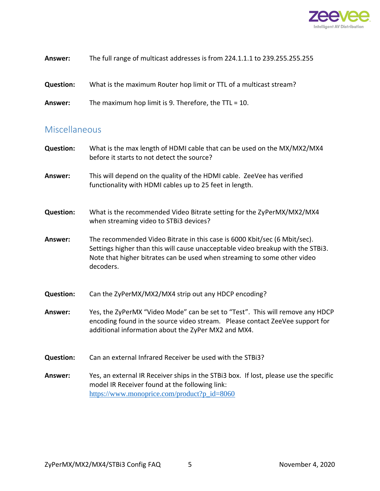

| Answer:          | The full range of multicast addresses is from 224.1.1.1 to 239.255.255.255 |
|------------------|----------------------------------------------------------------------------|
| <b>Question:</b> | What is the maximum Router hop limit or TTL of a multicast stream?         |
| Answer:          | The maximum hop limit is 9. Therefore, the $TTL = 10$ .                    |

#### <span id="page-4-0"></span>Miscellaneous

| <b>Question:</b> | What is the max length of HDMI cable that can be used on the MX/MX2/MX4<br>before it starts to not detect the source?                                                                                                                                 |
|------------------|-------------------------------------------------------------------------------------------------------------------------------------------------------------------------------------------------------------------------------------------------------|
| Answer:          | This will depend on the quality of the HDMI cable. ZeeVee has verified<br>functionality with HDMI cables up to 25 feet in length.                                                                                                                     |
| <b>Question:</b> | What is the recommended Video Bitrate setting for the ZyPerMX/MX2/MX4<br>when streaming video to STBi3 devices?                                                                                                                                       |
| Answer:          | The recommended Video Bitrate in this case is 6000 Kbit/sec (6 Mbit/sec).<br>Settings higher than this will cause unacceptable video breakup with the STBi3.<br>Note that higher bitrates can be used when streaming to some other video<br>decoders. |
| <b>Question:</b> | Can the ZyPerMX/MX2/MX4 strip out any HDCP encoding?                                                                                                                                                                                                  |
| Answer:          | Yes, the ZyPerMX "Video Mode" can be set to "Test". This will remove any HDCP<br>encoding found in the source video stream.  Please contact ZeeVee support for<br>additional information about the ZyPer MX2 and MX4.                                 |
| <b>Question:</b> | Can an external Infrared Receiver be used with the STBi3?                                                                                                                                                                                             |
| Answer:          | Yes, an external IR Receiver ships in the STBi3 box. If lost, please use the specific<br>model IR Receiver found at the following link:<br>https://www.monoprice.com/product?p_id=8060                                                                |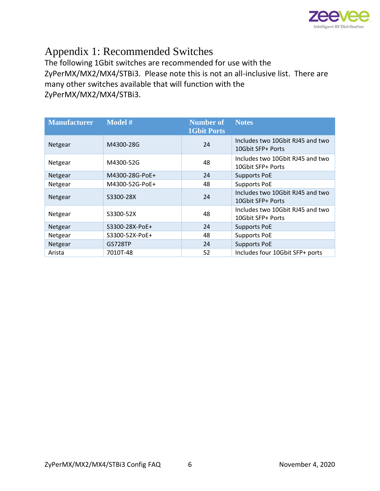

### <span id="page-5-0"></span>Appendix 1: Recommended Switches

The following 1Gbit switches are recommended for use with the ZyPerMX/MX2/MX4/STBi3. Please note this is not an all-inclusive list. There are many other switches available that will function with the ZyPerMX/MX2/MX4/STBi3.

| <b>Manufacturer</b> | Model #        | <b>Number of</b><br><b>1Gbit Ports</b> | <b>Notes</b>                                          |
|---------------------|----------------|----------------------------------------|-------------------------------------------------------|
| Netgear             | M4300-28G      | 24                                     | Includes two 10Gbit RJ45 and two<br>10Gbit SFP+ Ports |
| Netgear             | M4300-52G      | 48                                     | Includes two 10Gbit RJ45 and two<br>10Gbit SFP+ Ports |
| Netgear             | M4300-28G-PoE+ | 24                                     | <b>Supports PoE</b>                                   |
| Netgear             | M4300-52G-PoE+ | 48                                     | <b>Supports PoE</b>                                   |
| Netgear             | S3300-28X      | 24                                     | Includes two 10Gbit RJ45 and two<br>10Gbit SFP+ Ports |
| Netgear             | S3300-52X      | 48                                     | Includes two 10Gbit RJ45 and two<br>10Gbit SFP+ Ports |
| Netgear             | S3300-28X-PoE+ | 24                                     | <b>Supports PoE</b>                                   |
| Netgear             | S3300-52X-PoE+ | 48                                     | <b>Supports PoE</b>                                   |
| Netgear             | <b>GS728TP</b> | 24                                     | <b>Supports PoE</b>                                   |
| Arista              | 7010T-48       | 52                                     | Includes four 10Gbit SFP+ ports                       |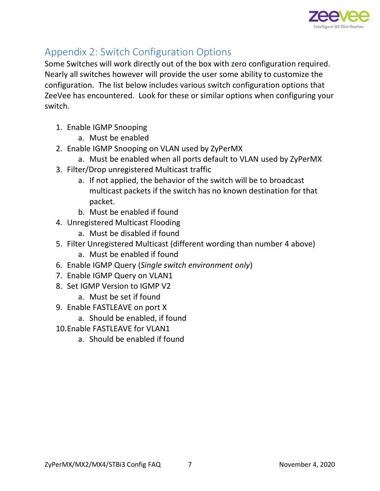

## <span id="page-6-0"></span>Appendix 2: Switch Configuration Options

Some Switches will work directly out of the box with zero configuration required. Nearly all switches however will provide the user some ability to customize the configuration. The list below includes various switch configuration options that ZeeVee has encountered. Look for these or similar options when configuring your switch.

- 1. Enable IGMP Snooping
	- a. Must be enabled
- 2. Enable IGMP Snooping on VLAN used by ZyPerMX
	- a. Must be enabled when all ports default to VLAN used by ZyPerMX
- 3. Filter/Drop unregistered Multicast traffic
	- a. If not applied, the behavior of the switch will be to broadcast multicast packets if the switch has no known destination for that packet.
	- b. Must be enabled if found
- 4. Unregistered Multicast Flooding
	- a. Must be disabled if found
- 5. Filter Unregistered Multicast (different wording than number 4 above)
	- a. Must be enabled if found
- 6. Enable IGMP Query (*Single switch environment only*)
- 7. Enable IGMP Query on VLAN1
- 8. Set IGMP Version to IGMP V2
	- a. Must be set if found
- 9. Enable FASTLEAVE on port X
	- a. Should be enabled, if found
- 10.Enable FASTLEAVE for VLAN1
	- a. Should be enabled if found